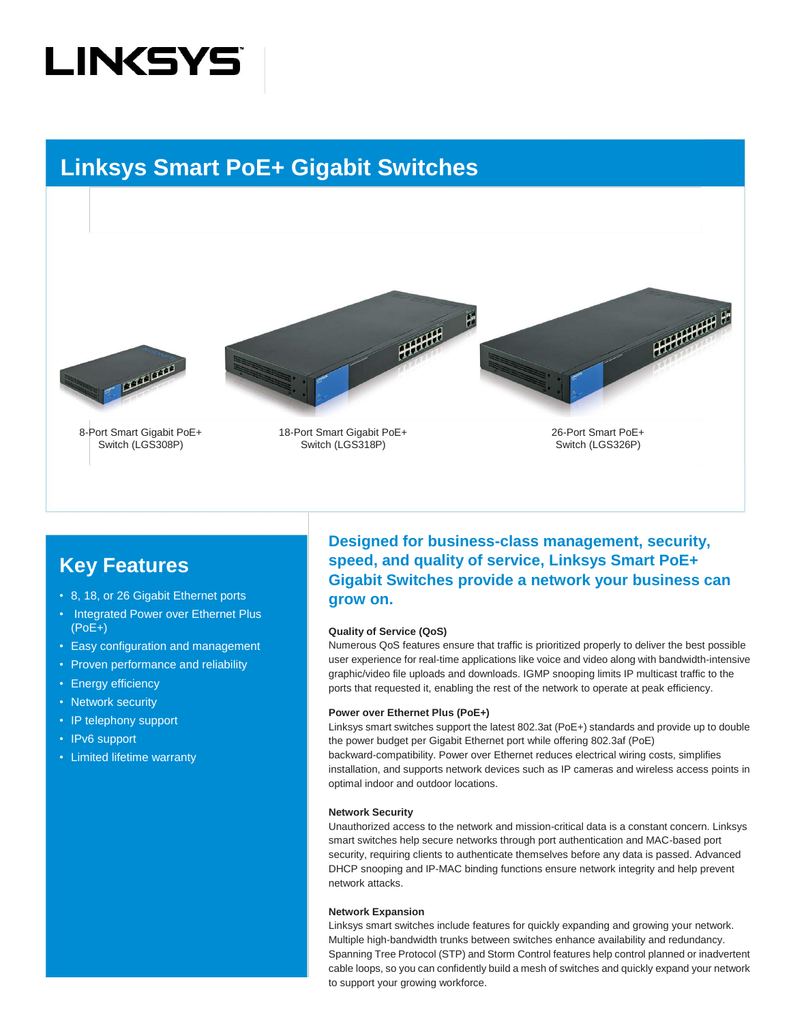## **LINKSYS**

### **Linksys Smart PoE+ Gigabit Switches**







8-Port Smart Gigabit PoE+ Switch (LGS308P)

18-Port Smart Gigabit PoE+ Switch (LGS318P)

26-Port Smart PoE+ Switch (LGS326P)

### **Key Features**

- 8, 18, or 26 Gigabit Ethernet ports
- Integrated Power over Ethernet Plus (PoE+)
- Easy configuration and management
- Proven performance and reliability
- Energy efficiency
- Network security
- IP telephony support
- IPv6 support
- Limited lifetime warranty

**Designed for business-class management, security, speed, and quality of service, Linksys Smart PoE+ Gigabit Switches provide a network your business can grow on.** 

#### **Quality of Service (QoS)**

Numerous QoS features ensure that traffic is prioritized properly to deliver the best possible user experience for real-time applications like voice and video along with bandwidth-intensive graphic/video file uploads and downloads. IGMP snooping limits IP multicast traffic to the ports that requested it, enabling the rest of the network to operate at peak efficiency.

#### **Power over Ethernet Plus (PoE+)**

Linksys smart switches support the latest 802.3at (PoE+) standards and provide up to double the power budget per Gigabit Ethernet port while offering 802.3af (PoE) backward-compatibility. Power over Ethernet reduces electrical wiring costs, simplifies installation, and supports network devices such as IP cameras and wireless access points in optimal indoor and outdoor locations.

#### **Network Security**

Unauthorized access to the network and mission-critical data is a constant concern. Linksys smart switches help secure networks through port authentication and MAC-based port security, requiring clients to authenticate themselves before any data is passed. Advanced DHCP snooping and IP-MAC binding functions ensure network integrity and help prevent network attacks.

#### **Network Expansion**

Linksys smart switches include features for quickly expanding and growing your network. Multiple high-bandwidth trunks between switches enhance availability and redundancy. Spanning Tree Protocol (STP) and Storm Control features help control planned or inadvertent cable loops, so you can confidently build a mesh of switches and quickly expand your network to support your growing workforce.